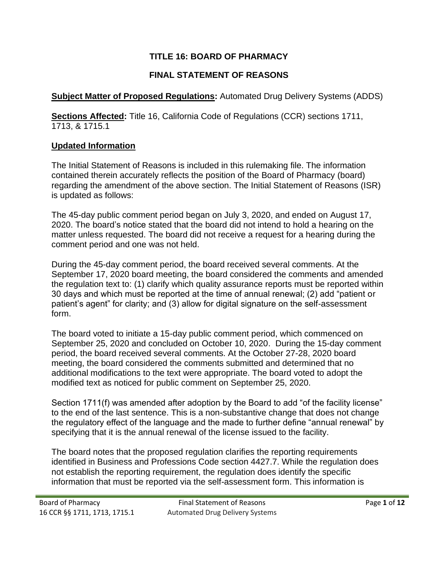## **TITLE 16: BOARD OF PHARMACY**

# **FINAL STATEMENT OF REASONS**

## **Subject Matter of Proposed Regulations:** Automated Drug Delivery Systems (ADDS)

**Sections Affected:** Title 16, California Code of Regulations (CCR) sections 1711, 1713, & 1715.1

## **Updated Information**

The Initial Statement of Reasons is included in this rulemaking file. The information contained therein accurately reflects the position of the Board of Pharmacy (board) regarding the amendment of the above section. The Initial Statement of Reasons (ISR) is updated as follows:

The 45-day public comment period began on July 3, 2020, and ended on August 17, 2020. The board's notice stated that the board did not intend to hold a hearing on the matter unless requested. The board did not receive a request for a hearing during the comment period and one was not held.

During the 45-day comment period, the board received several comments. At the September 17, 2020 board meeting, the board considered the comments and amended the regulation text to: (1) clarify which quality assurance reports must be reported within 30 days and which must be reported at the time of annual renewal; (2) add "patient or patient's agent" for clarity; and (3) allow for digital signature on the self-assessment form.

The board voted to initiate a 15-day public comment period, which commenced on September 25, 2020 and concluded on October 10, 2020. During the 15-day comment period, the board received several comments. At the October 27-28, 2020 board meeting, the board considered the comments submitted and determined that no additional modifications to the text were appropriate. The board voted to adopt the modified text as noticed for public comment on September 25, 2020.

Section 1711(f) was amended after adoption by the Board to add "of the facility license" to the end of the last sentence. This is a non-substantive change that does not change the regulatory effect of the language and the made to further define "annual renewal" by specifying that it is the annual renewal of the license issued to the facility.

The board notes that the proposed regulation clarifies the reporting requirements identified in Business and Professions Code section 4427.7. While the regulation does not establish the reporting requirement, the regulation does identify the specific information that must be reported via the self-assessment form. This information is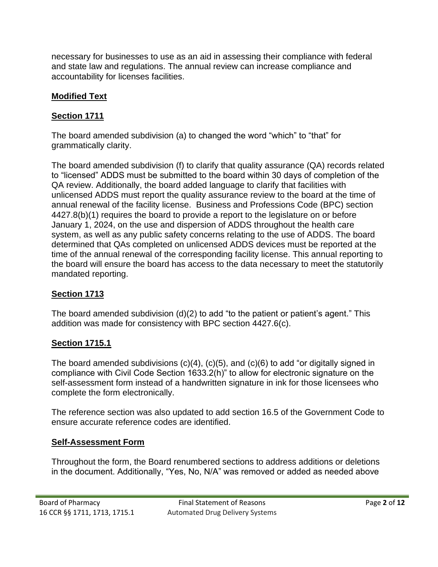necessary for businesses to use as an aid in assessing their compliance with federal and state law and regulations. The annual review can increase compliance and accountability for licenses facilities.

## **Modified Text**

#### **Section 1711**

The board amended subdivision (a) to changed the word "which" to "that" for grammatically clarity.

The board amended subdivision (f) to clarify that quality assurance (QA) records related to "licensed" ADDS must be submitted to the board within 30 days of completion of the QA review. Additionally, the board added language to clarify that facilities with unlicensed ADDS must report the quality assurance review to the board at the time of annual renewal of the facility license. Business and Professions Code (BPC) section 4427.8(b)(1) requires the board to provide a report to the legislature on or before January 1, 2024, on the use and dispersion of ADDS throughout the health care system, as well as any public safety concerns relating to the use of ADDS. The board determined that QAs completed on unlicensed ADDS devices must be reported at the time of the annual renewal of the corresponding facility license. This annual reporting to the board will ensure the board has access to the data necessary to meet the statutorily mandated reporting.

#### **Section 1713**

The board amended subdivision (d)(2) to add "to the patient or patient's agent." This addition was made for consistency with BPC section 4427.6(c).

#### **Section 1715.1**

The board amended subdivisions  $(c)(4)$ ,  $(c)(5)$ , and  $(c)(6)$  to add "or digitally signed in compliance with Civil Code Section 1633.2(h)" to allow for electronic signature on the self-assessment form instead of a handwritten signature in ink for those licensees who complete the form electronically.

The reference section was also updated to add section 16.5 of the Government Code to ensure accurate reference codes are identified.

#### **Self-Assessment Form**

Throughout the form, the Board renumbered sections to address additions or deletions in the document. Additionally, "Yes, No, N/A" was removed or added as needed above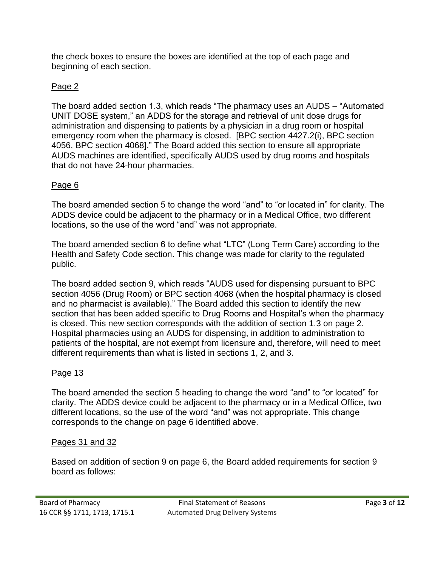the check boxes to ensure the boxes are identified at the top of each page and beginning of each section.

#### Page 2

The board added section 1.3, which reads "The pharmacy uses an AUDS – "Automated UNIT DOSE system," an ADDS for the storage and retrieval of unit dose drugs for administration and dispensing to patients by a physician in a drug room or hospital emergency room when the pharmacy is closed. [BPC section 4427.2(i), BPC section 4056, BPC section 4068]." The Board added this section to ensure all appropriate AUDS machines are identified, specifically AUDS used by drug rooms and hospitals that do not have 24-hour pharmacies.

#### Page 6

The board amended section 5 to change the word "and" to "or located in" for clarity. The ADDS device could be adjacent to the pharmacy or in a Medical Office, two different locations, so the use of the word "and" was not appropriate.

The board amended section 6 to define what "LTC" (Long Term Care) according to the Health and Safety Code section. This change was made for clarity to the regulated public.

The board added section 9, which reads "AUDS used for dispensing pursuant to BPC section 4056 (Drug Room) or BPC section 4068 (when the hospital pharmacy is closed and no pharmacist is available)." The Board added this section to identify the new section that has been added specific to Drug Rooms and Hospital's when the pharmacy is closed. This new section corresponds with the addition of section 1.3 on page 2. Hospital pharmacies using an AUDS for dispensing, in addition to administration to patients of the hospital, are not exempt from licensure and, therefore, will need to meet different requirements than what is listed in sections 1, 2, and 3.

#### Page 13

The board amended the section 5 heading to change the word "and" to "or located" for clarity. The ADDS device could be adjacent to the pharmacy or in a Medical Office, two different locations, so the use of the word "and" was not appropriate. This change corresponds to the change on page 6 identified above.

#### Pages 31 and 32

Based on addition of section 9 on page 6, the Board added requirements for section 9 board as follows: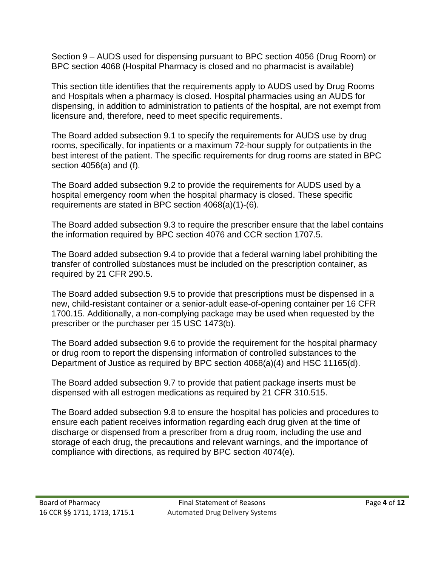Section 9 – AUDS used for dispensing pursuant to BPC section 4056 (Drug Room) or BPC section 4068 (Hospital Pharmacy is closed and no pharmacist is available)

This section title identifies that the requirements apply to AUDS used by Drug Rooms and Hospitals when a pharmacy is closed. Hospital pharmacies using an AUDS for dispensing, in addition to administration to patients of the hospital, are not exempt from licensure and, therefore, need to meet specific requirements.

The Board added subsection 9.1 to specify the requirements for AUDS use by drug rooms, specifically, for inpatients or a maximum 72-hour supply for outpatients in the best interest of the patient. The specific requirements for drug rooms are stated in BPC section 4056(a) and (f).

The Board added subsection 9.2 to provide the requirements for AUDS used by a hospital emergency room when the hospital pharmacy is closed. These specific requirements are stated in BPC section 4068(a)(1)-(6).

The Board added subsection 9.3 to require the prescriber ensure that the label contains the information required by BPC section 4076 and CCR section 1707.5.

The Board added subsection 9.4 to provide that a federal warning label prohibiting the transfer of controlled substances must be included on the prescription container, as required by 21 CFR 290.5.

The Board added subsection 9.5 to provide that prescriptions must be dispensed in a new, child-resistant container or a senior-adult ease-of-opening container per 16 CFR 1700.15. Additionally, a non-complying package may be used when requested by the prescriber or the purchaser per 15 USC 1473(b).

The Board added subsection 9.6 to provide the requirement for the hospital pharmacy or drug room to report the dispensing information of controlled substances to the Department of Justice as required by BPC section 4068(a)(4) and HSC 11165(d).

The Board added subsection 9.7 to provide that patient package inserts must be dispensed with all estrogen medications as required by 21 CFR 310.515.

The Board added subsection 9.8 to ensure the hospital has policies and procedures to ensure each patient receives information regarding each drug given at the time of discharge or dispensed from a prescriber from a drug room, including the use and storage of each drug, the precautions and relevant warnings, and the importance of compliance with directions, as required by BPC section 4074(e).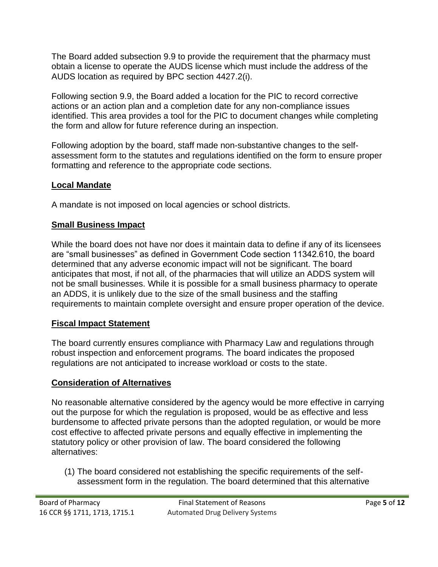The Board added subsection 9.9 to provide the requirement that the pharmacy must obtain a license to operate the AUDS license which must include the address of the AUDS location as required by BPC section 4427.2(i).

Following section 9.9, the Board added a location for the PIC to record corrective actions or an action plan and a completion date for any non-compliance issues identified. This area provides a tool for the PIC to document changes while completing the form and allow for future reference during an inspection.

Following adoption by the board, staff made non-substantive changes to the selfassessment form to the statutes and regulations identified on the form to ensure proper formatting and reference to the appropriate code sections.

## **Local Mandate**

A mandate is not imposed on local agencies or school districts.

## **Small Business Impact**

While the board does not have nor does it maintain data to define if any of its licensees are "small businesses" as defined in Government Code section 11342.610, the board determined that any adverse economic impact will not be significant. The board anticipates that most, if not all, of the pharmacies that will utilize an ADDS system will not be small businesses. While it is possible for a small business pharmacy to operate an ADDS, it is unlikely due to the size of the small business and the staffing requirements to maintain complete oversight and ensure proper operation of the device.

## **Fiscal Impact Statement**

The board currently ensures compliance with Pharmacy Law and regulations through robust inspection and enforcement programs. The board indicates the proposed regulations are not anticipated to increase workload or costs to the state.

## **Consideration of Alternatives**

No reasonable alternative considered by the agency would be more effective in carrying out the purpose for which the regulation is proposed, would be as effective and less burdensome to affected private persons than the adopted regulation, or would be more cost effective to affected private persons and equally effective in implementing the statutory policy or other provision of law. The board considered the following alternatives:

(1) The board considered not establishing the specific requirements of the selfassessment form in the regulation. The board determined that this alternative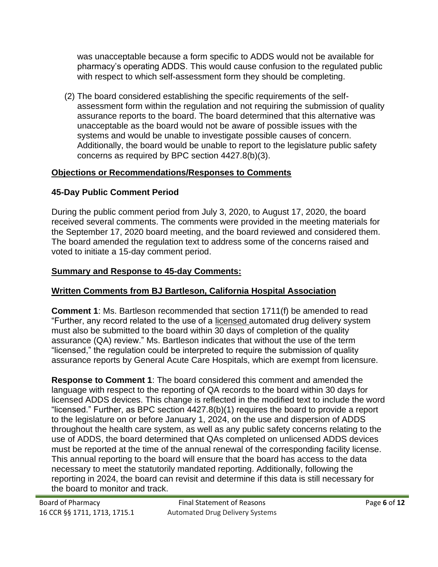was unacceptable because a form specific to ADDS would not be available for pharmacy's operating ADDS. This would cause confusion to the regulated public with respect to which self-assessment form they should be completing.

(2) The board considered establishing the specific requirements of the selfassessment form within the regulation and not requiring the submission of quality assurance reports to the board. The board determined that this alternative was unacceptable as the board would not be aware of possible issues with the systems and would be unable to investigate possible causes of concern. Additionally, the board would be unable to report to the legislature public safety concerns as required by BPC section 4427.8(b)(3).

## **Objections or Recommendations/Responses to Comments**

# **45-Day Public Comment Period**

During the public comment period from July 3, 2020, to August 17, 2020, the board received several comments. The comments were provided in the meeting materials for the September 17, 2020 board meeting, and the board reviewed and considered them. The board amended the regulation text to address some of the concerns raised and voted to initiate a 15-day comment period.

# **Summary and Response to 45-day Comments:**

## **Written Comments from BJ Bartleson, California Hospital Association**

**Comment 1**: Ms. Bartleson recommended that section 1711(f) be amended to read "Further, any record related to the use of a licensed automated drug delivery system must also be submitted to the board within 30 days of completion of the quality assurance (QA) review." Ms. Bartleson indicates that without the use of the term "licensed," the regulation could be interpreted to require the submission of quality assurance reports by General Acute Care Hospitals, which are exempt from licensure.

**Response to Comment 1**: The board considered this comment and amended the language with respect to the reporting of QA records to the board within 30 days for licensed ADDS devices. This change is reflected in the modified text to include the word "licensed." Further, as BPC section 4427.8(b)(1) requires the board to provide a report to the legislature on or before January 1, 2024, on the use and dispersion of ADDS throughout the health care system, as well as any public safety concerns relating to the use of ADDS, the board determined that QAs completed on unlicensed ADDS devices must be reported at the time of the annual renewal of the corresponding facility license. This annual reporting to the board will ensure that the board has access to the data necessary to meet the statutorily mandated reporting. Additionally, following the reporting in 2024, the board can revisit and determine if this data is still necessary for the board to monitor and track.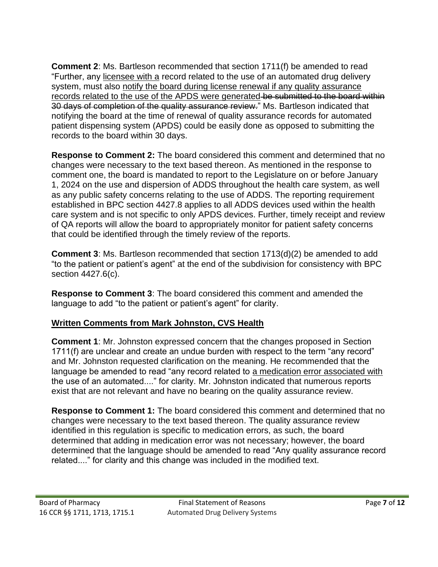**Comment 2**: Ms. Bartleson recommended that section 1711(f) be amended to read "Further, any licensee with a record related to the use of an automated drug delivery system, must also notify the board during license renewal if any quality assurance records related to the use of the APDS were generated be submitted to the board within 30 days of completion of the quality assurance review." Ms. Bartleson indicated that notifying the board at the time of renewal of quality assurance records for automated patient dispensing system (APDS) could be easily done as opposed to submitting the records to the board within 30 days.

**Response to Comment 2:** The board considered this comment and determined that no changes were necessary to the text based thereon. As mentioned in the response to comment one, the board is mandated to report to the Legislature on or before January 1, 2024 on the use and dispersion of ADDS throughout the health care system, as well as any public safety concerns relating to the use of ADDS. The reporting requirement established in BPC section 4427.8 applies to all ADDS devices used within the health care system and is not specific to only APDS devices. Further, timely receipt and review of QA reports will allow the board to appropriately monitor for patient safety concerns that could be identified through the timely review of the reports.

**Comment 3**: Ms. Bartleson recommended that section 1713(d)(2) be amended to add "to the patient or patient's agent" at the end of the subdivision for consistency with BPC section 4427.6(c).

**Response to Comment 3**: The board considered this comment and amended the language to add "to the patient or patient's agent" for clarity.

## **Written Comments from Mark Johnston, CVS Health**

**Comment 1**: Mr. Johnston expressed concern that the changes proposed in Section 1711(f) are unclear and create an undue burden with respect to the term "any record" and Mr. Johnston requested clarification on the meaning. He recommended that the language be amended to read "any record related to a medication error associated with the use of an automated...." for clarity. Mr. Johnston indicated that numerous reports exist that are not relevant and have no bearing on the quality assurance review.

**Response to Comment 1:** The board considered this comment and determined that no changes were necessary to the text based thereon. The quality assurance review identified in this regulation is specific to medication errors, as such, the board determined that adding in medication error was not necessary; however, the board determined that the language should be amended to read "Any quality assurance record related...." for clarity and this change was included in the modified text.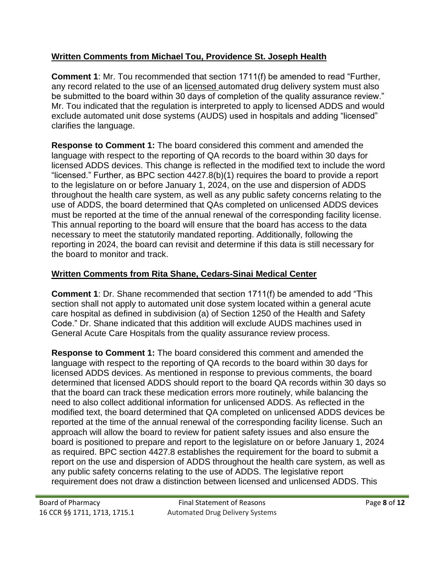## **Written Comments from Michael Tou, Providence St. Joseph Health**

**Comment 1**: Mr. Tou recommended that section 1711(f) be amended to read "Further, any record related to the use of an licensed automated drug delivery system must also be submitted to the board within 30 days of completion of the quality assurance review." Mr. Tou indicated that the regulation is interpreted to apply to licensed ADDS and would exclude automated unit dose systems (AUDS) used in hospitals and adding "licensed" clarifies the language.

**Response to Comment 1:** The board considered this comment and amended the language with respect to the reporting of QA records to the board within 30 days for licensed ADDS devices. This change is reflected in the modified text to include the word "licensed." Further, as BPC section 4427.8(b)(1) requires the board to provide a report to the legislature on or before January 1, 2024, on the use and dispersion of ADDS throughout the health care system, as well as any public safety concerns relating to the use of ADDS, the board determined that QAs completed on unlicensed ADDS devices must be reported at the time of the annual renewal of the corresponding facility license. This annual reporting to the board will ensure that the board has access to the data necessary to meet the statutorily mandated reporting. Additionally, following the reporting in 2024, the board can revisit and determine if this data is still necessary for the board to monitor and track.

# **Written Comments from Rita Shane, Cedars-Sinai Medical Center**

**Comment 1**: Dr. Shane recommended that section 1711(f) be amended to add "This section shall not apply to automated unit dose system located within a general acute care hospital as defined in subdivision (a) of Section 1250 of the Health and Safety Code." Dr. Shane indicated that this addition will exclude AUDS machines used in General Acute Care Hospitals from the quality assurance review process.

**Response to Comment 1:** The board considered this comment and amended the language with respect to the reporting of QA records to the board within 30 days for licensed ADDS devices. As mentioned in response to previous comments, the board determined that licensed ADDS should report to the board QA records within 30 days so that the board can track these medication errors more routinely, while balancing the need to also collect additional information for unlicensed ADDS. As reflected in the modified text, the board determined that QA completed on unlicensed ADDS devices be reported at the time of the annual renewal of the corresponding facility license. Such an approach will allow the board to review for patient safety issues and also ensure the board is positioned to prepare and report to the legislature on or before January 1, 2024 as required. BPC section 4427.8 establishes the requirement for the board to submit a report on the use and dispersion of ADDS throughout the health care system, as well as any public safety concerns relating to the use of ADDS. The legislative report requirement does not draw a distinction between licensed and unlicensed ADDS. This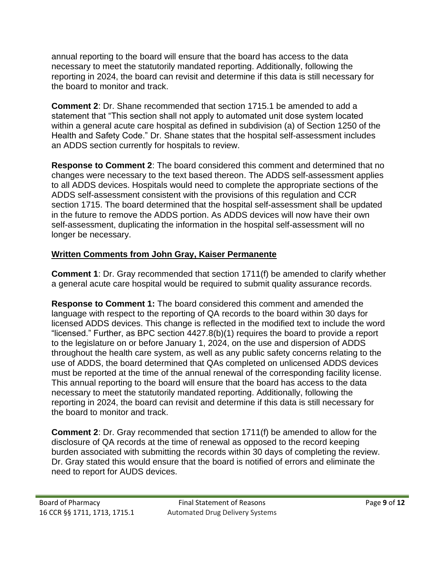annual reporting to the board will ensure that the board has access to the data necessary to meet the statutorily mandated reporting. Additionally, following the reporting in 2024, the board can revisit and determine if this data is still necessary for the board to monitor and track.

**Comment 2**: Dr. Shane recommended that section 1715.1 be amended to add a statement that "This section shall not apply to automated unit dose system located within a general acute care hospital as defined in subdivision (a) of Section 1250 of the Health and Safety Code." Dr. Shane states that the hospital self-assessment includes an ADDS section currently for hospitals to review.

**Response to Comment 2**: The board considered this comment and determined that no changes were necessary to the text based thereon. The ADDS self-assessment applies to all ADDS devices. Hospitals would need to complete the appropriate sections of the ADDS self-assessment consistent with the provisions of this regulation and CCR section 1715. The board determined that the hospital self-assessment shall be updated in the future to remove the ADDS portion. As ADDS devices will now have their own self-assessment, duplicating the information in the hospital self-assessment will no longer be necessary.

## **Written Comments from John Gray, Kaiser Permanente**

**Comment 1**: Dr. Gray recommended that section 1711(f) be amended to clarify whether a general acute care hospital would be required to submit quality assurance records.

**Response to Comment 1:** The board considered this comment and amended the language with respect to the reporting of QA records to the board within 30 days for licensed ADDS devices. This change is reflected in the modified text to include the word "licensed." Further, as BPC section 4427.8(b)(1) requires the board to provide a report to the legislature on or before January 1, 2024, on the use and dispersion of ADDS throughout the health care system, as well as any public safety concerns relating to the use of ADDS, the board determined that QAs completed on unlicensed ADDS devices must be reported at the time of the annual renewal of the corresponding facility license. This annual reporting to the board will ensure that the board has access to the data necessary to meet the statutorily mandated reporting. Additionally, following the reporting in 2024, the board can revisit and determine if this data is still necessary for the board to monitor and track.

**Comment 2**: Dr. Gray recommended that section 1711(f) be amended to allow for the disclosure of QA records at the time of renewal as opposed to the record keeping burden associated with submitting the records within 30 days of completing the review. Dr. Gray stated this would ensure that the board is notified of errors and eliminate the need to report for AUDS devices.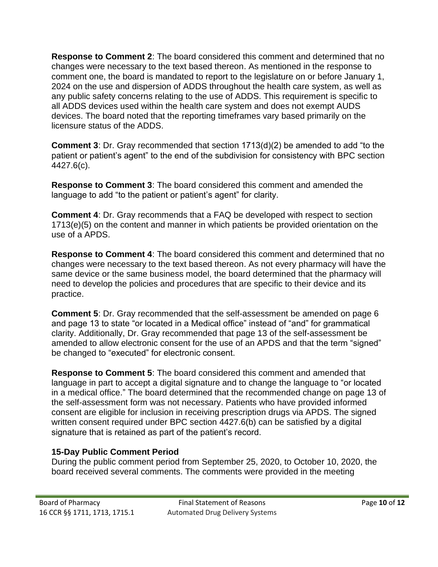**Response to Comment 2**: The board considered this comment and determined that no changes were necessary to the text based thereon. As mentioned in the response to comment one, the board is mandated to report to the legislature on or before January 1, 2024 on the use and dispersion of ADDS throughout the health care system, as well as any public safety concerns relating to the use of ADDS. This requirement is specific to all ADDS devices used within the health care system and does not exempt AUDS devices. The board noted that the reporting timeframes vary based primarily on the licensure status of the ADDS.

**Comment 3**: Dr. Gray recommended that section 1713(d)(2) be amended to add "to the patient or patient's agent" to the end of the subdivision for consistency with BPC section 4427.6(c).

**Response to Comment 3**: The board considered this comment and amended the language to add "to the patient or patient's agent" for clarity.

**Comment 4**: Dr. Gray recommends that a FAQ be developed with respect to section 1713(e)(5) on the content and manner in which patients be provided orientation on the use of a APDS.

**Response to Comment 4**: The board considered this comment and determined that no changes were necessary to the text based thereon. As not every pharmacy will have the same device or the same business model, the board determined that the pharmacy will need to develop the policies and procedures that are specific to their device and its practice.

**Comment 5**: Dr. Gray recommended that the self-assessment be amended on page 6 and page 13 to state "or located in a Medical office" instead of "and" for grammatical clarity. Additionally, Dr. Gray recommended that page 13 of the self-assessment be amended to allow electronic consent for the use of an APDS and that the term "signed" be changed to "executed" for electronic consent.

**Response to Comment 5**: The board considered this comment and amended that language in part to accept a digital signature and to change the language to "or located in a medical office." The board determined that the recommended change on page 13 of the self-assessment form was not necessary. Patients who have provided informed consent are eligible for inclusion in receiving prescription drugs via APDS. The signed written consent required under BPC section 4427.6(b) can be satisfied by a digital signature that is retained as part of the patient's record.

#### **15-Day Public Comment Period**

During the public comment period from September 25, 2020, to October 10, 2020, the board received several comments. The comments were provided in the meeting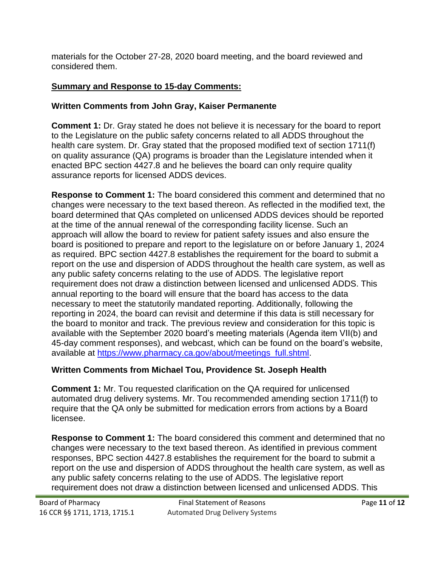materials for the October 27-28, 2020 board meeting, and the board reviewed and considered them.

# **Summary and Response to 15-day Comments:**

## **Written Comments from John Gray, Kaiser Permanente**

**Comment 1:** Dr. Gray stated he does not believe it is necessary for the board to report to the Legislature on the public safety concerns related to all ADDS throughout the health care system. Dr. Gray stated that the proposed modified text of section 1711(f) on quality assurance (QA) programs is broader than the Legislature intended when it enacted BPC section 4427.8 and he believes the board can only require quality assurance reports for licensed ADDS devices.

**Response to Comment 1:** The board considered this comment and determined that no changes were necessary to the text based thereon. As reflected in the modified text, the board determined that QAs completed on unlicensed ADDS devices should be reported at the time of the annual renewal of the corresponding facility license. Such an approach will allow the board to review for patient safety issues and also ensure the board is positioned to prepare and report to the legislature on or before January 1, 2024 as required. BPC section 4427.8 establishes the requirement for the board to submit a report on the use and dispersion of ADDS throughout the health care system, as well as any public safety concerns relating to the use of ADDS. The legislative report requirement does not draw a distinction between licensed and unlicensed ADDS. This annual reporting to the board will ensure that the board has access to the data necessary to meet the statutorily mandated reporting. Additionally, following the reporting in 2024, the board can revisit and determine if this data is still necessary for the board to monitor and track. The previous review and consideration for this topic is available with the September 2020 board's meeting materials (Agenda item VII(b) and 45-day comment responses), and webcast, which can be found on the board's website, available at [https://www.pharmacy.ca.gov/about/meetings\\_full.shtml.](https://www.pharmacy.ca.gov/about/meetings_full.shtml)

## **Written Comments from Michael Tou, Providence St. Joseph Health**

**Comment 1:** Mr. Tou requested clarification on the QA required for unlicensed automated drug delivery systems. Mr. Tou recommended amending section 1711(f) to require that the QA only be submitted for medication errors from actions by a Board licensee.

**Response to Comment 1:** The board considered this comment and determined that no changes were necessary to the text based thereon. As identified in previous comment responses, BPC section 4427.8 establishes the requirement for the board to submit a report on the use and dispersion of ADDS throughout the health care system, as well as any public safety concerns relating to the use of ADDS. The legislative report requirement does not draw a distinction between licensed and unlicensed ADDS. This